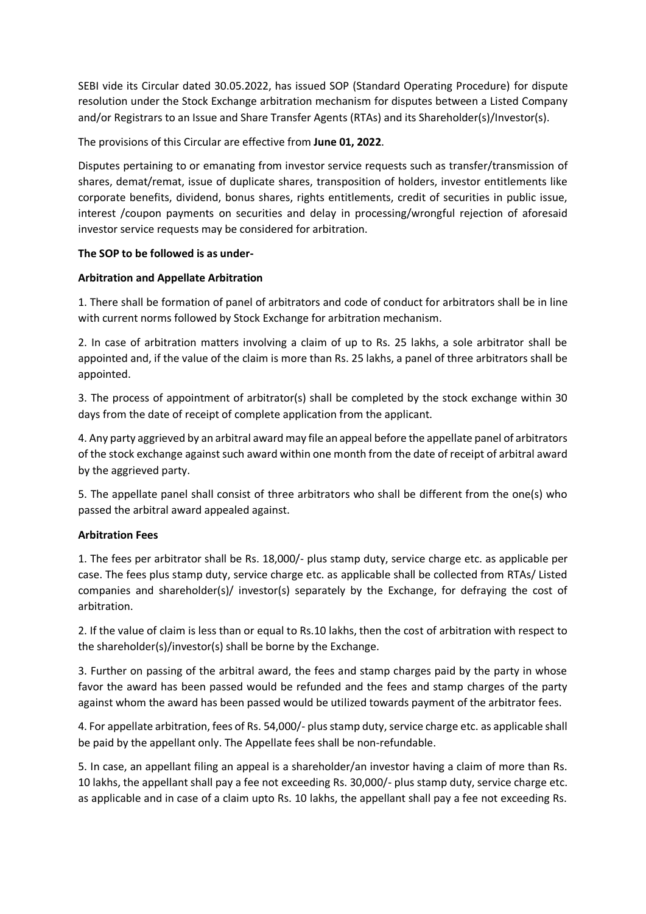SEBI vide its Circular dated 30.05.2022, has issued SOP (Standard Operating Procedure) for dispute resolution under the Stock Exchange arbitration mechanism for disputes between a Listed Company and/or Registrars to an Issue and Share Transfer Agents (RTAs) and its Shareholder(s)/Investor(s).

The provisions of this Circular are effective from **June 01, 2022**.

Disputes pertaining to or emanating from investor service requests such as transfer/transmission of shares, demat/remat, issue of duplicate shares, transposition of holders, investor entitlements like corporate benefits, dividend, bonus shares, rights entitlements, credit of securities in public issue, interest /coupon payments on securities and delay in processing/wrongful rejection of aforesaid investor service requests may be considered for arbitration.

## **The SOP to be followed is as under-**

## **Arbitration and Appellate Arbitration**

1. There shall be formation of panel of arbitrators and code of conduct for arbitrators shall be in line with current norms followed by Stock Exchange for arbitration mechanism.

2. In case of arbitration matters involving a claim of up to Rs. 25 lakhs, a sole arbitrator shall be appointed and, if the value of the claim is more than Rs. 25 lakhs, a panel of three arbitrators shall be appointed.

3. The process of appointment of arbitrator(s) shall be completed by the stock exchange within 30 days from the date of receipt of complete application from the applicant.

4. Any party aggrieved by an arbitral award may file an appeal before the appellate panel of arbitrators of the stock exchange against such award within one month from the date of receipt of arbitral award by the aggrieved party.

5. The appellate panel shall consist of three arbitrators who shall be different from the one(s) who passed the arbitral award appealed against.

# **Arbitration Fees**

1. The fees per arbitrator shall be Rs. 18,000/- plus stamp duty, service charge etc. as applicable per case. The fees plus stamp duty, service charge etc. as applicable shall be collected from RTAs/ Listed companies and shareholder(s)/ investor(s) separately by the Exchange, for defraying the cost of arbitration.

2. If the value of claim is less than or equal to Rs.10 lakhs, then the cost of arbitration with respect to the shareholder(s)/investor(s) shall be borne by the Exchange.

3. Further on passing of the arbitral award, the fees and stamp charges paid by the party in whose favor the award has been passed would be refunded and the fees and stamp charges of the party against whom the award has been passed would be utilized towards payment of the arbitrator fees.

4. For appellate arbitration, fees of Rs. 54,000/- plus stamp duty, service charge etc. as applicable shall be paid by the appellant only. The Appellate fees shall be non-refundable.

5. In case, an appellant filing an appeal is a shareholder/an investor having a claim of more than Rs. 10 lakhs, the appellant shall pay a fee not exceeding Rs. 30,000/- plus stamp duty, service charge etc. as applicable and in case of a claim upto Rs. 10 lakhs, the appellant shall pay a fee not exceeding Rs.